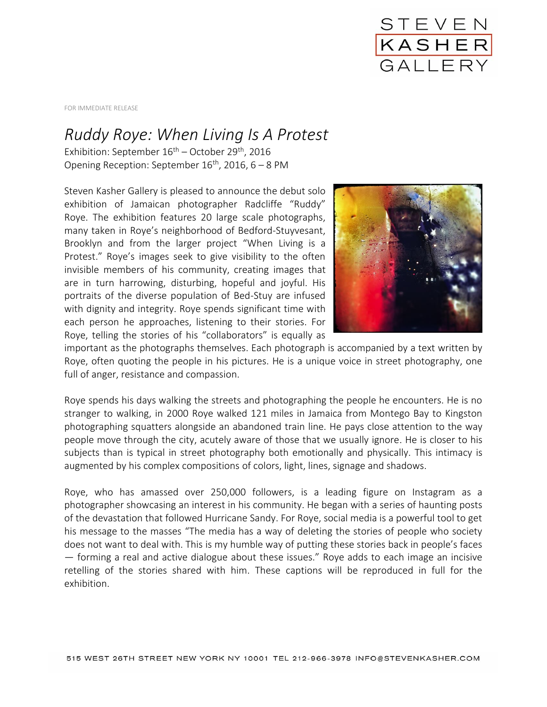

FOR IMMEDIATE RELEASE

## *Ruddy Roye: When Living Is A Protest*

Exhibition: September  $16^{th}$  – October 29<sup>th</sup>, 2016 Opening Reception: September  $16^{th}$ , 2016, 6 – 8 PM

Steven Kasher Gallery is pleased to announce the debut solo exhibition of Jamaican photographer Radcliffe "Ruddy" Roye. The exhibition features 20 large scale photographs, many taken in Roye's neighborhood of Bedford-Stuyvesant, Brooklyn and from the larger project "When Living is a Protest." Roye's images seek to give visibility to the often invisible members of his community, creating images that are in turn harrowing, disturbing, hopeful and joyful. His portraits of the diverse population of Bed-Stuy are infused with dignity and integrity. Roye spends significant time with each person he approaches, listening to their stories. For Roye, telling the stories of his "collaborators" is equally as



important as the photographs themselves. Each photograph is accompanied by a text written by Roye, often quoting the people in his pictures. He is a unique voice in street photography, one full of anger, resistance and compassion.

Roye spends his days walking the streets and photographing the people he encounters. He is no stranger to walking, in 2000 Roye walked 121 miles in Jamaica from Montego Bay to Kingston photographing squatters alongside an abandoned train line. He pays close attention to the way people move through the city, acutely aware of those that we usually ignore. He is closer to his subjects than is typical in street photography both emotionally and physically. This intimacy is augmented by his complex compositions of colors, light, lines, signage and shadows.

Roye, who has amassed over 250,000 followers, is a leading figure on Instagram as a photographer showcasing an interest in his community. He began with a series of haunting posts of the devastation that followed Hurricane Sandy. For Roye, social media is a powerful tool to get his message to the masses "The media has a way of deleting the stories of people who society does not want to deal with. This is my humble way of putting these stories back in people's faces — forming a real and active dialogue about these issues." Roye adds to each image an incisive retelling of the stories shared with him. These captions will be reproduced in full for the exhibition.